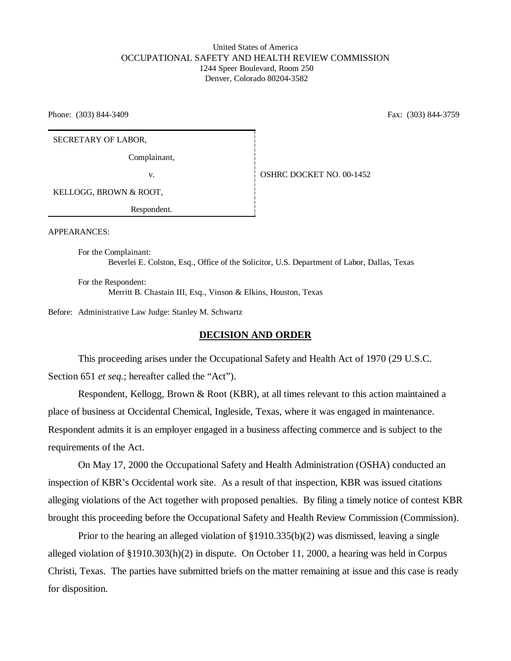### United States of America OCCUPATIONAL SAFETY AND HEALTH REVIEW COMMISSION 1244 Speer Boulevard, Room 250 Denver, Colorado 80204-3582

Phone: (303) 844-3409 Fax: (303) 844-3759

SECRETARY OF LABOR,

Complainant,

v. <br> **COSHRC DOCKET NO. 00-1452** 

KELLOGG, BROWN & ROOT,

Respondent.

APPEARANCES:

For the Complainant: Beverlei E. Colston, Esq., Office of the Solicitor, U.S. Department of Labor, Dallas, Texas

For the Respondent: Merritt B. Chastain III, Esq., Vinson & Elkins, Houston, Texas

Before: Administrative Law Judge: Stanley M. Schwartz

#### **DECISION AND ORDER**

This proceeding arises under the Occupational Safety and Health Act of 1970 (29 U.S.C. Section 651 *et seq.*; hereafter called the "Act").

Respondent, Kellogg, Brown & Root (KBR), at all times relevant to this action maintained a place of business at Occidental Chemical, Ingleside, Texas, where it was engaged in maintenance. Respondent admits it is an employer engaged in a business affecting commerce and is subject to the requirements of the Act.

On May 17, 2000 the Occupational Safety and Health Administration (OSHA) conducted an inspection of KBR's Occidental work site. As a result of that inspection, KBR was issued citations alleging violations of the Act together with proposed penalties. By filing a timely notice of contest KBR brought this proceeding before the Occupational Safety and Health Review Commission (Commission).

Prior to the hearing an alleged violation of §1910.335(b)(2) was dismissed, leaving a single alleged violation of §1910.303(h)(2) in dispute. On October 11, 2000, a hearing was held in Corpus Christi, Texas. The parties have submitted briefs on the matter remaining at issue and this case is ready for disposition.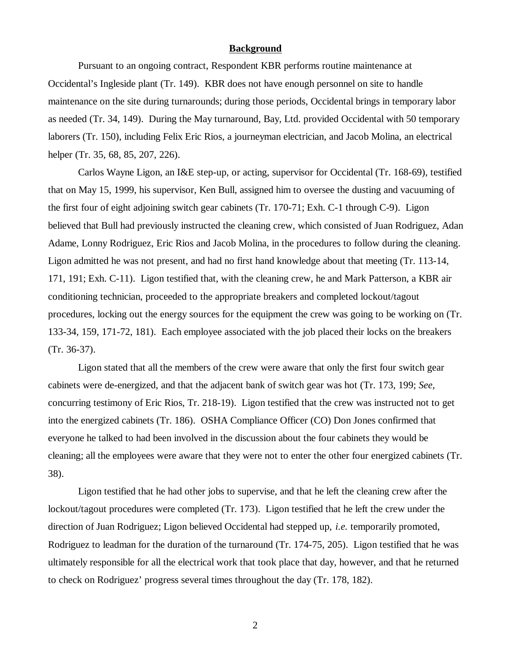#### **Background**

Pursuant to an ongoing contract, Respondent KBR performs routine maintenance at Occidental's Ingleside plant (Tr. 149). KBR does not have enough personnel on site to handle maintenance on the site during turnarounds; during those periods, Occidental brings in temporary labor as needed (Tr. 34, 149). During the May turnaround, Bay, Ltd. provided Occidental with 50 temporary laborers (Tr. 150), including Felix Eric Rios, a journeyman electrician, and Jacob Molina, an electrical helper (Tr. 35, 68, 85, 207, 226).

 Carlos Wayne Ligon, an I&E step-up, or acting, supervisor for Occidental (Tr. 168-69), testified that on May 15, 1999, his supervisor, Ken Bull, assigned him to oversee the dusting and vacuuming of the first four of eight adjoining switch gear cabinets (Tr. 170-71; Exh. C-1 through C-9). Ligon believed that Bull had previously instructed the cleaning crew, which consisted of Juan Rodriguez, Adan Adame, Lonny Rodriguez, Eric Rios and Jacob Molina, in the procedures to follow during the cleaning. Ligon admitted he was not present, and had no first hand knowledge about that meeting (Tr. 113-14, 171, 191; Exh. C-11). Ligon testified that, with the cleaning crew, he and Mark Patterson, a KBR air conditioning technician, proceeded to the appropriate breakers and completed lockout/tagout procedures, locking out the energy sources for the equipment the crew was going to be working on (Tr. 133-34, 159, 171-72, 181). Each employee associated with the job placed their locks on the breakers (Tr. 36-37).

Ligon stated that all the members of the crew were aware that only the first four switch gear cabinets were de-energized, and that the adjacent bank of switch gear was hot (Tr. 173, 199; *See,* concurring testimony of Eric Rios, Tr. 218-19). Ligon testified that the crew was instructed not to get into the energized cabinets (Tr. 186). OSHA Compliance Officer (CO) Don Jones confirmed that everyone he talked to had been involved in the discussion about the four cabinets they would be cleaning; all the employees were aware that they were not to enter the other four energized cabinets (Tr. 38).

Ligon testified that he had other jobs to supervise, and that he left the cleaning crew after the lockout/tagout procedures were completed (Tr. 173). Ligon testified that he left the crew under the direction of Juan Rodriguez; Ligon believed Occidental had stepped up, *i.e.* temporarily promoted, Rodriguez to leadman for the duration of the turnaround (Tr. 174-75, 205). Ligon testified that he was ultimately responsible for all the electrical work that took place that day, however, and that he returned to check on Rodriguez' progress several times throughout the day (Tr. 178, 182).

2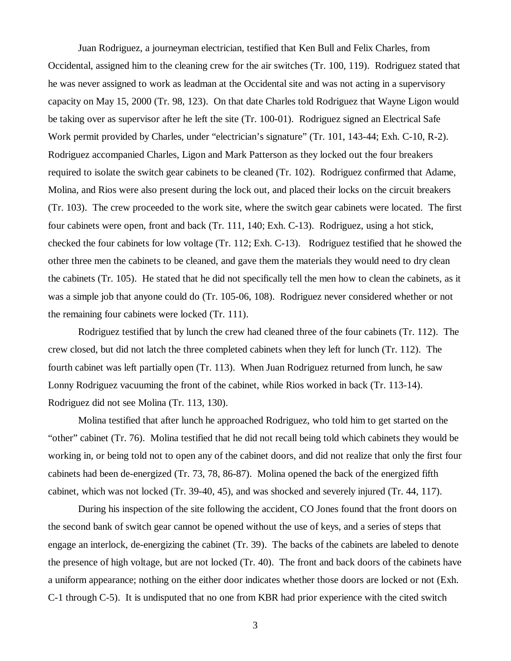Juan Rodriguez, a journeyman electrician, testified that Ken Bull and Felix Charles, from Occidental, assigned him to the cleaning crew for the air switches (Tr. 100, 119). Rodriguez stated that he was never assigned to work as leadman at the Occidental site and was not acting in a supervisory capacity on May 15, 2000 (Tr. 98, 123). On that date Charles told Rodriguez that Wayne Ligon would be taking over as supervisor after he left the site (Tr. 100-01). Rodriguez signed an Electrical Safe Work permit provided by Charles, under "electrician's signature" (Tr. 101, 143-44; Exh. C-10, R-2). Rodriguez accompanied Charles, Ligon and Mark Patterson as they locked out the four breakers required to isolate the switch gear cabinets to be cleaned (Tr. 102). Rodriguez confirmed that Adame, Molina, and Rios were also present during the lock out, and placed their locks on the circuit breakers (Tr. 103). The crew proceeded to the work site, where the switch gear cabinets were located. The first four cabinets were open, front and back (Tr. 111, 140; Exh. C-13). Rodriguez, using a hot stick, checked the four cabinets for low voltage (Tr. 112; Exh. C-13). Rodriguez testified that he showed the other three men the cabinets to be cleaned, and gave them the materials they would need to dry clean the cabinets (Tr. 105). He stated that he did not specifically tell the men how to clean the cabinets, as it was a simple job that anyone could do (Tr. 105-06, 108). Rodriguez never considered whether or not the remaining four cabinets were locked (Tr. 111).

Rodriguez testified that by lunch the crew had cleaned three of the four cabinets (Tr. 112). The crew closed, but did not latch the three completed cabinets when they left for lunch (Tr. 112). The fourth cabinet was left partially open (Tr. 113). When Juan Rodriguez returned from lunch, he saw Lonny Rodriguez vacuuming the front of the cabinet, while Rios worked in back (Tr. 113-14). Rodriguez did not see Molina (Tr. 113, 130).

Molina testified that after lunch he approached Rodriguez, who told him to get started on the "other" cabinet (Tr. 76). Molina testified that he did not recall being told which cabinets they would be working in, or being told not to open any of the cabinet doors, and did not realize that only the first four cabinets had been de-energized (Tr. 73, 78, 86-87). Molina opened the back of the energized fifth cabinet, which was not locked (Tr. 39-40, 45), and was shocked and severely injured (Tr. 44, 117).

During his inspection of the site following the accident, CO Jones found that the front doors on the second bank of switch gear cannot be opened without the use of keys, and a series of steps that engage an interlock, de-energizing the cabinet (Tr. 39). The backs of the cabinets are labeled to denote the presence of high voltage, but are not locked (Tr. 40). The front and back doors of the cabinets have a uniform appearance; nothing on the either door indicates whether those doors are locked or not (Exh. C-1 through C-5). It is undisputed that no one from KBR had prior experience with the cited switch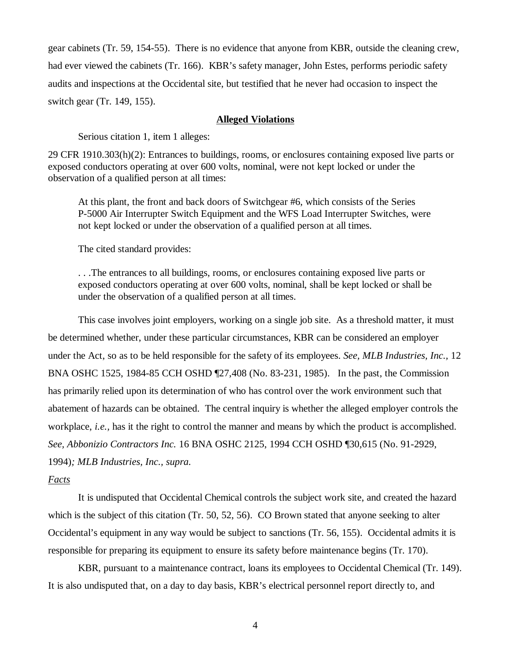gear cabinets (Tr. 59, 154-55). There is no evidence that anyone from KBR, outside the cleaning crew, had ever viewed the cabinets (Tr. 166). KBR's safety manager, John Estes, performs periodic safety audits and inspections at the Occidental site, but testified that he never had occasion to inspect the switch gear (Tr. 149, 155).

#### **Alleged Violations**

Serious citation 1, item 1 alleges:

29 CFR 1910.303(h)(2): Entrances to buildings, rooms, or enclosures containing exposed live parts or exposed conductors operating at over 600 volts, nominal, were not kept locked or under the observation of a qualified person at all times:

At this plant, the front and back doors of Switchgear #6, which consists of the Series P-5000 Air Interrupter Switch Equipment and the WFS Load Interrupter Switches, were not kept locked or under the observation of a qualified person at all times.

The cited standard provides:

. . .The entrances to all buildings, rooms, or enclosures containing exposed live parts or exposed conductors operating at over 600 volts, nominal, shall be kept locked or shall be under the observation of a qualified person at all times.

This case involves joint employers, working on a single job site. As a threshold matter, it must be determined whether, under these particular circumstances, KBR can be considered an employer under the Act, so as to be held responsible for the safety of its employees. *See, MLB Industries, Inc.,* 12 BNA OSHC 1525, 1984-85 CCH OSHD ¶27,408 (No. 83-231, 1985). In the past, the Commission has primarily relied upon its determination of who has control over the work environment such that abatement of hazards can be obtained. The central inquiry is whether the alleged employer controls the workplace, *i.e.,* has it the right to control the manner and means by which the product is accomplished. *See, Abbonizio Contractors Inc.* 16 BNA OSHC 2125, 1994 CCH OSHD ¶30,615 (No. 91-2929, 1994)*; MLB Industries, Inc., supra.*

## *Facts*

It is undisputed that Occidental Chemical controls the subject work site, and created the hazard which is the subject of this citation (Tr. 50, 52, 56). CO Brown stated that anyone seeking to alter Occidental's equipment in any way would be subject to sanctions (Tr. 56, 155). Occidental admits it is responsible for preparing its equipment to ensure its safety before maintenance begins (Tr. 170).

KBR, pursuant to a maintenance contract, loans its employees to Occidental Chemical (Tr. 149). It is also undisputed that, on a day to day basis, KBR's electrical personnel report directly to, and

4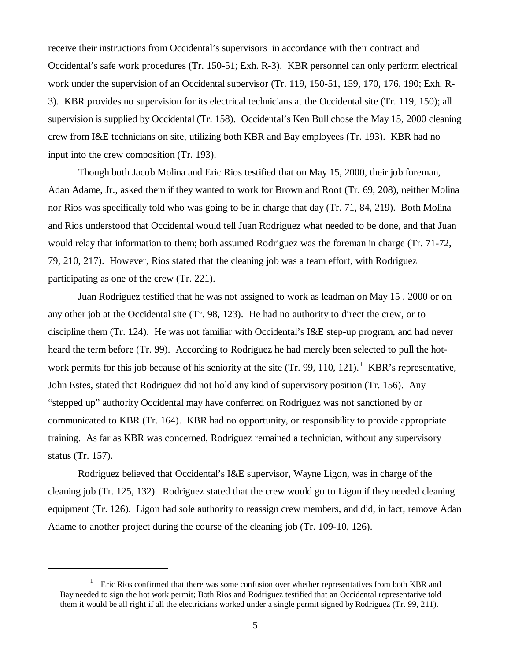receive their instructions from Occidental's supervisors in accordance with their contract and Occidental's safe work procedures (Tr. 150-51; Exh. R-3). KBR personnel can only perform electrical work under the supervision of an Occidental supervisor (Tr. 119, 150-51, 159, 170, 176, 190; Exh. R-3). KBR provides no supervision for its electrical technicians at the Occidental site (Tr. 119, 150); all supervision is supplied by Occidental (Tr. 158). Occidental's Ken Bull chose the May 15, 2000 cleaning crew from I&E technicians on site, utilizing both KBR and Bay employees (Tr. 193). KBR had no input into the crew composition (Tr. 193).

Though both Jacob Molina and Eric Rios testified that on May 15, 2000, their job foreman, Adan Adame, Jr., asked them if they wanted to work for Brown and Root (Tr. 69, 208), neither Molina nor Rios was specifically told who was going to be in charge that day (Tr. 71, 84, 219). Both Molina and Rios understood that Occidental would tell Juan Rodriguez what needed to be done, and that Juan would relay that information to them; both assumed Rodriguez was the foreman in charge (Tr. 71-72, 79, 210, 217). However, Rios stated that the cleaning job was a team effort, with Rodriguez participating as one of the crew (Tr. 221).

Juan Rodriguez testified that he was not assigned to work as leadman on May 15 , 2000 or on any other job at the Occidental site (Tr. 98, 123). He had no authority to direct the crew, or to discipline them (Tr. 124). He was not familiar with Occidental's I&E step-up program, and had never heard the term before (Tr. 99). According to Rodriguez he had merely been selected to pull the hotwork permits for this job because of his seniority at the site  $(Tr. 99, 110, 121)$ . KBR's representative, John Estes, stated that Rodriguez did not hold any kind of supervisory position (Tr. 156). Any "stepped up" authority Occidental may have conferred on Rodriguez was not sanctioned by or communicated to KBR (Tr. 164). KBR had no opportunity, or responsibility to provide appropriate training. As far as KBR was concerned, Rodriguez remained a technician, without any supervisory status (Tr. 157).

Rodriguez believed that Occidental's I&E supervisor, Wayne Ligon, was in charge of the cleaning job (Tr. 125, 132). Rodriguez stated that the crew would go to Ligon if they needed cleaning equipment (Tr. 126). Ligon had sole authority to reassign crew members, and did, in fact, remove Adan Adame to another project during the course of the cleaning job (Tr. 109-10, 126).

 $1$  Eric Rios confirmed that there was some confusion over whether representatives from both KBR and Bay needed to sign the hot work permit; Both Rios and Rodriguez testified that an Occidental representative told them it would be all right if all the electricians worked under a single permit signed by Rodriguez (Tr. 99, 211).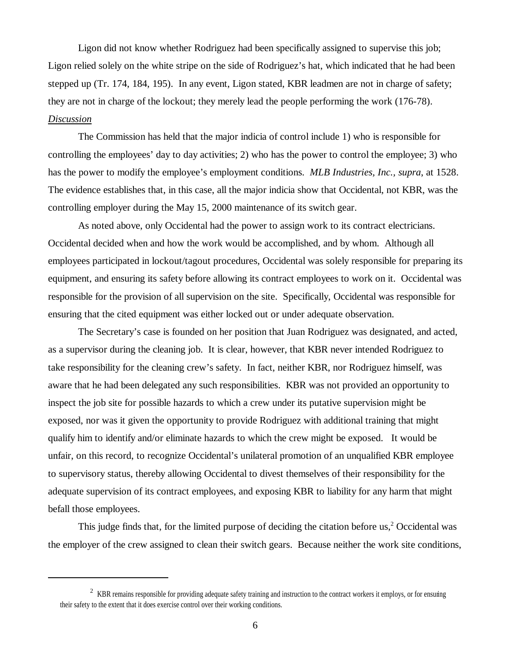Ligon did not know whether Rodriguez had been specifically assigned to supervise this job; Ligon relied solely on the white stripe on the side of Rodriguez's hat, which indicated that he had been stepped up (Tr. 174, 184, 195). In any event, Ligon stated, KBR leadmen are not in charge of safety; they are not in charge of the lockout; they merely lead the people performing the work (176-78). *Discussion*

The Commission has held that the major indicia of control include 1) who is responsible for controlling the employees' day to day activities; 2) who has the power to control the employee; 3) who has the power to modify the employee's employment conditions. *MLB Industries, Inc., supra*, at 1528. The evidence establishes that, in this case, all the major indicia show that Occidental, not KBR, was the controlling employer during the May 15, 2000 maintenance of its switch gear.

As noted above, only Occidental had the power to assign work to its contract electricians. Occidental decided when and how the work would be accomplished, and by whom. Although all employees participated in lockout/tagout procedures, Occidental was solely responsible for preparing its equipment, and ensuring its safety before allowing its contract employees to work on it. Occidental was responsible for the provision of all supervision on the site. Specifically, Occidental was responsible for ensuring that the cited equipment was either locked out or under adequate observation.

The Secretary's case is founded on her position that Juan Rodriguez was designated, and acted, as a supervisor during the cleaning job. It is clear, however, that KBR never intended Rodriguez to take responsibility for the cleaning crew's safety. In fact, neither KBR, nor Rodriguez himself, was aware that he had been delegated any such responsibilities. KBR was not provided an opportunity to inspect the job site for possible hazards to which a crew under its putative supervision might be exposed, nor was it given the opportunity to provide Rodriguez with additional training that might qualify him to identify and/or eliminate hazards to which the crew might be exposed. It would be unfair, on this record, to recognize Occidental's unilateral promotion of an unqualified KBR employee to supervisory status, thereby allowing Occidental to divest themselves of their responsibility for the adequate supervision of its contract employees, and exposing KBR to liability for any harm that might befall those employees.

This judge finds that, for the limited purpose of deciding the citation before us, $2$  Occidental was the employer of the crew assigned to clean their switch gears. Because neither the work site conditions,

 $2$  KBR remains responsible for providing adequate safety training and instruction to the contract workers it employs, or for ensuring their safety to the extent that it does exercise control over their working conditions.